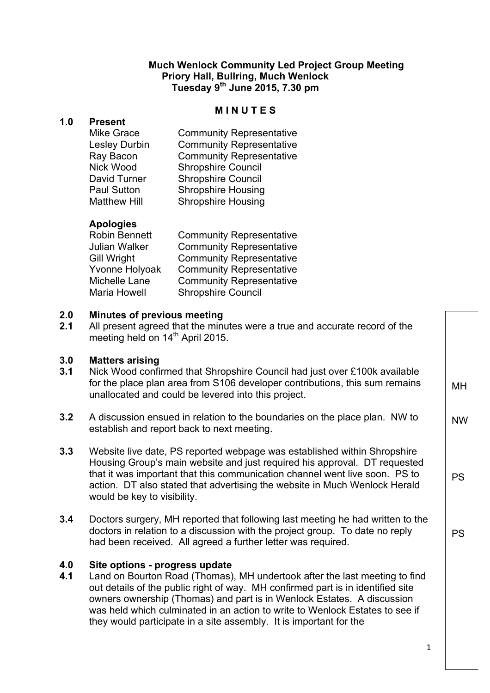### **Much Wenlock Community Led Project Group Meeting Priory Hall, Bullring, Much Wenlock Tuesday 9th June 2015, 7.30 pm**

#### **M I N U T E S**

### **1.0 Present**

Mike Gra Lesley D Ray Baco Nick Woo David Tu Paul Sutt Matthew

| асе          | <b>Community Representative</b> |
|--------------|---------------------------------|
| urbin        | <b>Community Representative</b> |
| on           | <b>Community Representative</b> |
| od           | <b>Shropshire Council</b>       |
| <b>urner</b> | <b>Shropshire Council</b>       |
| ton          | <b>Shropshire Housing</b>       |
| Hill         | <b>Shropshire Housing</b>       |
|              |                                 |

## **Apologies**

| <b>Robin Bennett</b> | <b>Community Representative</b> |
|----------------------|---------------------------------|
| Julian Walker        | <b>Community Representative</b> |
| Gill Wright          | <b>Community Representative</b> |
| Yvonne Holyoak       | <b>Community Representative</b> |
| Michelle Lane        | <b>Community Representative</b> |
| Maria Howell         | <b>Shropshire Council</b>       |

#### **2.0 Minutes of previous meeting**

**2.1** All present agreed that the minutes were a true and accurate record of the meeting held on 14<sup>th</sup> April 2015.

#### **3.0 Matters arising**

- **3.1** Nick Wood confirmed that Shropshire Council had just over £100k available for the place plan area from S106 developer contributions, this sum remains unallocated and could be levered into this project.
- **3.2** A discussion ensued in relation to the boundaries on the place plan. NW to establish and report back to next meeting.
- **3.3** Website live date, PS reported webpage was established within Shropshire Housing Group's main website and just required his approval. DT requested that it was important that this communication channel went live soon. PS to action. DT also stated that advertising the website in Much Wenlock Herald would be key to visibility.
- **3.4** Doctors surgery, MH reported that following last meeting he had written to the doctors in relation to a discussion with the project group. To date no reply had been received. All agreed a further letter was required.

# **4.0 Site options - progress update**

**4.1** Land on Bourton Road (Thomas), MH undertook after the last meeting to find out details of the public right of way. MH confirmed part is in identified site owners ownership (Thomas) and part is in Wenlock Estates. A discussion was held which culminated in an action to write to Wenlock Estates to see if they would participate in a site assembly. It is important for the

1

MH

NW

PS

PS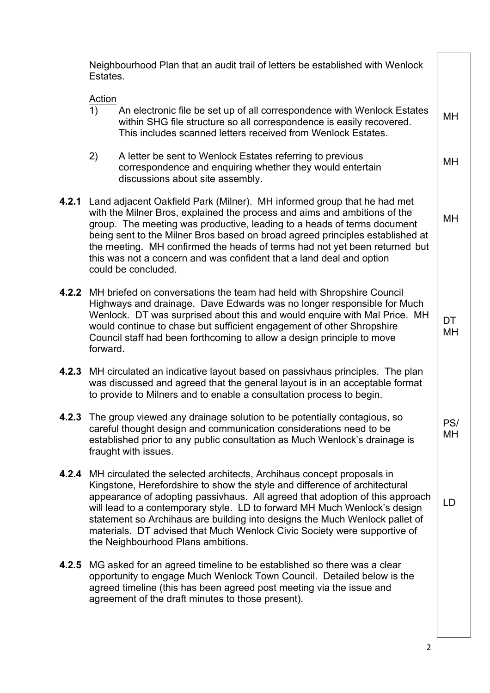|       | Estates. | Neighbourhood Plan that an audit trail of letters be established with Wenlock                                                                                                                                                                                                                                                                                                                                                                                                                                     |                 |
|-------|----------|-------------------------------------------------------------------------------------------------------------------------------------------------------------------------------------------------------------------------------------------------------------------------------------------------------------------------------------------------------------------------------------------------------------------------------------------------------------------------------------------------------------------|-----------------|
|       | Action   |                                                                                                                                                                                                                                                                                                                                                                                                                                                                                                                   |                 |
|       | 1)       | An electronic file be set up of all correspondence with Wenlock Estates<br>within SHG file structure so all correspondence is easily recovered.<br>This includes scanned letters received from Wenlock Estates.                                                                                                                                                                                                                                                                                                   | MН              |
|       | 2)       | A letter be sent to Wenlock Estates referring to previous<br>correspondence and enquiring whether they would entertain<br>discussions about site assembly.                                                                                                                                                                                                                                                                                                                                                        | МH              |
| 4.2.1 |          | Land adjacent Oakfield Park (Milner). MH informed group that he had met<br>with the Milner Bros, explained the process and aims and ambitions of the<br>group. The meeting was productive, leading to a heads of terms document<br>being sent to the Milner Bros based on broad agreed principles established at<br>the meeting. MH confirmed the heads of terms had not yet been returned but<br>this was not a concern and was confident that a land deal and option<br>could be concluded.                     | MH              |
| 4.2.2 | forward. | MH briefed on conversations the team had held with Shropshire Council<br>Highways and drainage. Dave Edwards was no longer responsible for Much<br>Wenlock. DT was surprised about this and would enquire with Mal Price. MH<br>would continue to chase but sufficient engagement of other Shropshire<br>Council staff had been forthcoming to allow a design principle to move                                                                                                                                   | <b>DT</b><br>MH |
| 4.2.3 |          | MH circulated an indicative layout based on passivhaus principles. The plan<br>was discussed and agreed that the general layout is in an acceptable format<br>to provide to Milners and to enable a consultation process to begin.                                                                                                                                                                                                                                                                                |                 |
|       |          | 4.2.3 The group viewed any drainage solution to be potentially contagious, so<br>careful thought design and communication considerations need to be<br>established prior to any public consultation as Much Wenlock's drainage is<br>fraught with issues.                                                                                                                                                                                                                                                         | PS/<br>MН       |
| 4.2.4 |          | MH circulated the selected architects, Archihaus concept proposals in<br>Kingstone, Herefordshire to show the style and difference of architectural<br>appearance of adopting passivhaus. All agreed that adoption of this approach<br>will lead to a contemporary style. LD to forward MH Much Wenlock's design<br>statement so Archihaus are building into designs the Much Wenlock pallet of<br>materials. DT advised that Much Wenlock Civic Society were supportive of<br>the Neighbourhood Plans ambitions. | <b>LD</b>       |
| 4.2.5 |          | MG asked for an agreed timeline to be established so there was a clear<br>opportunity to engage Much Wenlock Town Council. Detailed below is the<br>agreed timeline (this has been agreed post meeting via the issue and<br>agreement of the draft minutes to those present).                                                                                                                                                                                                                                     |                 |
|       |          |                                                                                                                                                                                                                                                                                                                                                                                                                                                                                                                   |                 |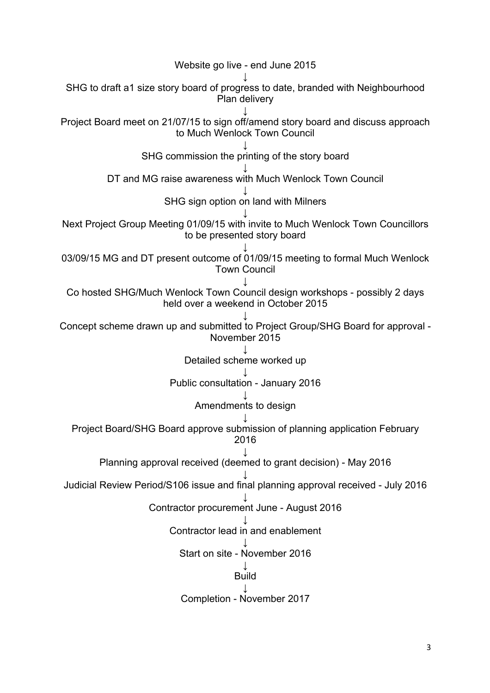Website go live - end June 2015 ↓ SHG to draft a1 size story board of progress to date, branded with Neighbourhood Plan delivery ↓ Project Board meet on 21/07/15 to sign off/amend story board and discuss approach to Much Wenlock Town Council ↓ SHG commission the printing of the story board ↓ DT and MG raise awareness with Much Wenlock Town Council ↓ SHG sign option on land with Milners ↓ Next Project Group Meeting 01/09/15 with invite to Much Wenlock Town Councillors to be presented story board ↓ 03/09/15 MG and DT present outcome of 01/09/15 meeting to formal Much Wenlock Town Council ↓ Co hosted SHG/Much Wenlock Town Council design workshops - possibly 2 days held over a weekend in October 2015 ↓ Concept scheme drawn up and submitted to Project Group/SHG Board for approval - November 2015 ↓ Detailed scheme worked up ↓ Public consultation - January 2016 ↓ Amendments to design ↓ Project Board/SHG Board approve submission of planning application February 2016 ↓ Planning approval received (deemed to grant decision) - May 2016 ↓ Judicial Review Period/S106 issue and final planning approval received - July 2016 ↓ Contractor procurement June - August 2016 ↓ Contractor lead in and enablement ↓ Start on site - November 2016 ↓ Build ↓ Completion - November 2017